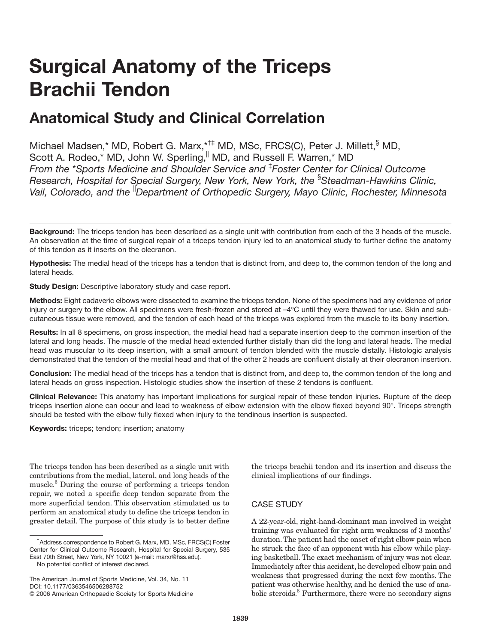# **Surgical Anatomy of the Triceps Brachii Tendon**

## **Anatomical Study and Clinical Correlation**

Michael Madsen,\* MD, Robert G. Marx,\*<sup>†‡</sup> MD, MSc, FRCS(C), Peter J. Millett, <sup>§</sup> MD, Scott A. Rodeo,\* MD, John W. Sperling, MD, and Russell F. Warren,\* MD *From the* \**Sports Medicine and Shoulder Service and* ‡ *Foster Center for Clinical Outcome Research, Hospital for Special Surgery, New York, New York, the* § *Steadman-Hawkins Clinic, Vail, Colorado, and the* ||*Department of Orthopedic Surgery, Mayo Clinic, Rochester, Minnesota*

**Hypothesis:** The medial head of the triceps has a tendon that is distinct from, and deep to, the common tendon of the long and lateral heads.

**Study Design:** Descriptive laboratory study and case report.

**Methods:** Eight cadaveric elbows were dissected to examine the triceps tendon. None of the specimens had any evidence of prior injury or surgery to the elbow. All specimens were fresh-frozen and stored at  $-4^{\circ}$ C until they were thawed for use. Skin and subcutaneous tissue were removed, and the tendon of each head of the triceps was explored from the muscle to its bony insertion.

**Results:** In all 8 specimens, on gross inspection, the medial head had a separate insertion deep to the common insertion of the lateral and long heads. The muscle of the medial head extended further distally than did the long and lateral heads. The medial head was muscular to its deep insertion, with a small amount of tendon blended with the muscle distally. Histologic analysis demonstrated that the tendon of the medial head and that of the other 2 heads are confluent distally at their olecranon insertion.

**Conclusion:** The medial head of the triceps has a tendon that is distinct from, and deep to, the common tendon of the long and lateral heads on gross inspection. Histologic studies show the insertion of these 2 tendons is confluent.

**Clinical Relevance:** This anatomy has important implications for surgical repair of these tendon injuries. Rupture of the deep triceps insertion alone can occur and lead to weakness of elbow extension with the elbow flexed beyond 90°. Triceps strength should be tested with the elbow fully flexed when injury to the tendinous insertion is suspected.

**Keywords:** triceps; tendon; insertion; anatomy

The triceps tendon has been described as a single unit with contributions from the medial, lateral, and long heads of the muscle.6 During the course of performing a triceps tendon repair, we noted a specific deep tendon separate from the more superficial tendon. This observation stimulated us to perform an anatomical study to define the triceps tendon in greater detail. The purpose of this study is to better define

the triceps brachii tendon and its insertion and discuss the clinical implications of our findings.

### CASE STUDY

A 22-year-old, right-hand-dominant man involved in weight training was evaluated for right arm weakness of 3 months' duration. The patient had the onset of right elbow pain when he struck the face of an opponent with his elbow while playing basketball. The exact mechanism of injury was not clear. Immediately after this accident, he developed elbow pain and weakness that progressed during the next few months. The patient was otherwise healthy, and he denied the use of anabolic steroids.<sup>8</sup> Furthermore, there were no secondary signs

**Background:** The triceps tendon has been described as a single unit with contribution from each of the 3 heads of the muscle. An observation at the time of surgical repair of a triceps tendon injury led to an anatomical study to further define the anatomy of this tendon as it inserts on the olecranon.

<sup>†</sup> Address correspondence to Robert G. Marx, MD, MSc, FRCS(C) Foster Center for Clinical Outcome Research, Hospital for Special Surgery, 535 East 70th Street, New York, NY 10021 (e-mail: marxr@hss.edu).

No potential conflict of interest declared.

The American Journal of Sports Medicine, Vol. 34, No. 11 DOI: 10.1177/0363546506288752 © 2006 American Orthopaedic Society for Sports Medicine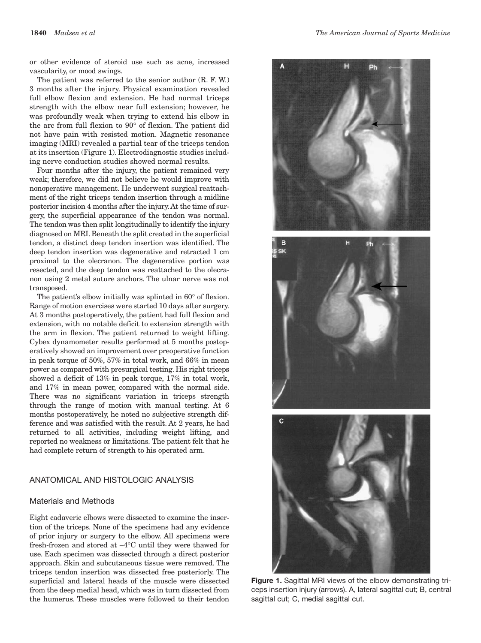or other evidence of steroid use such as acne, increased vascularity, or mood swings.

The patient was referred to the senior author (R. F. W.) 3 months after the injury. Physical examination revealed full elbow flexion and extension. He had normal triceps strength with the elbow near full extension; however, he was profoundly weak when trying to extend his elbow in the arc from full flexion to 90° of flexion. The patient did not have pain with resisted motion. Magnetic resonance imaging (MRI) revealed a partial tear of the triceps tendon at its insertion (Figure 1). Electrodiagnostic studies including nerve conduction studies showed normal results.

Four months after the injury, the patient remained very weak; therefore, we did not believe he would improve with nonoperative management. He underwent surgical reattachment of the right triceps tendon insertion through a midline posterior incision 4 months after the injury.At the time of surgery, the superficial appearance of the tendon was normal. The tendon was then split longitudinally to identify the injury diagnosed on MRI. Beneath the split created in the superficial tendon, a distinct deep tendon insertion was identified. The deep tendon insertion was degenerative and retracted 1 cm proximal to the olecranon. The degenerative portion was resected, and the deep tendon was reattached to the olecranon using 2 metal suture anchors. The ulnar nerve was not transposed.

The patient's elbow initially was splinted in 60° of flexion. Range of motion exercises were started 10 days after surgery. At 3 months postoperatively, the patient had full flexion and extension, with no notable deficit to extension strength with the arm in flexion. The patient returned to weight lifting. Cybex dynamometer results performed at 5 months postoperatively showed an improvement over preoperative function in peak torque of 50%, 57% in total work, and 66% in mean power as compared with presurgical testing. His right triceps showed a deficit of 13% in peak torque, 17% in total work, and 17% in mean power, compared with the normal side. There was no significant variation in triceps strength through the range of motion with manual testing. At 6 months postoperatively, he noted no subjective strength difference and was satisfied with the result. At 2 years, he had returned to all activities, including weight lifting, and reported no weakness or limitations. The patient felt that he had complete return of strength to his operated arm.

#### ANATOMICAL AND HISTOLOGIC ANALYSIS

#### Materials and Methods

Eight cadaveric elbows were dissected to examine the insertion of the triceps. None of the specimens had any evidence of prior injury or surgery to the elbow. All specimens were fresh-frozen and stored at –4°C until they were thawed for use. Each specimen was dissected through a direct posterior approach. Skin and subcutaneous tissue were removed. The triceps tendon insertion was dissected free posteriorly. The superficial and lateral heads of the muscle were dissected from the deep medial head, which was in turn dissected from the humerus. These muscles were followed to their tendon



**Figure 1.** Sagittal MRI views of the elbow demonstrating triceps insertion injury (arrows). A, lateral sagittal cut; B, central sagittal cut; C, medial sagittal cut.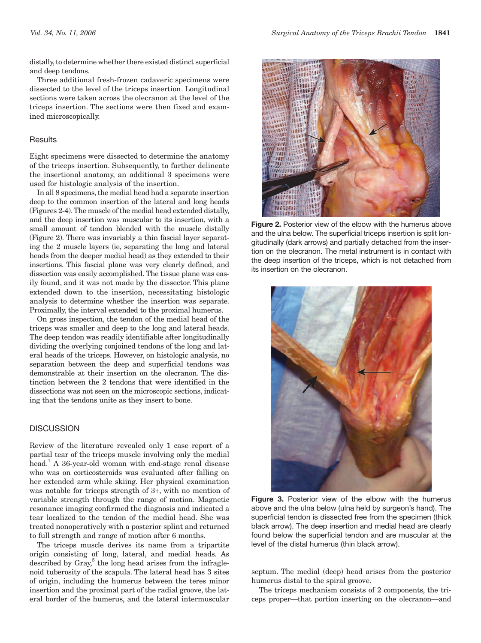distally, to determine whether there existed distinct superficial and deep tendons.

Three additional fresh-frozen cadaveric specimens were dissected to the level of the triceps insertion. Longitudinal sections were taken across the olecranon at the level of the triceps insertion. The sections were then fixed and examined microscopically.

#### **Results**

Eight specimens were dissected to determine the anatomy of the triceps insertion. Subsequently, to further delineate the insertional anatomy, an additional 3 specimens were used for histologic analysis of the insertion.

In all 8 specimens, the medial head had a separate insertion deep to the common insertion of the lateral and long heads (Figures 2-4).The muscle of the medial head extended distally, and the deep insertion was muscular to its insertion, with a small amount of tendon blended with the muscle distally (Figure 2). There was invariably a thin fascial layer separating the 2 muscle layers (ie, separating the long and lateral heads from the deeper medial head) as they extended to their insertions. This fascial plane was very clearly defined, and dissection was easily accomplished. The tissue plane was easily found, and it was not made by the dissector. This plane extended down to the insertion, necessitating histologic analysis to determine whether the insertion was separate. Proximally, the interval extended to the proximal humerus.

On gross inspection, the tendon of the medial head of the triceps was smaller and deep to the long and lateral heads. The deep tendon was readily identifiable after longitudinally dividing the overlying conjoined tendons of the long and lateral heads of the triceps. However, on histologic analysis, no separation between the deep and superficial tendons was demonstrable at their insertion on the olecranon. The distinction between the 2 tendons that were identified in the dissections was not seen on the microscopic sections, indicating that the tendons unite as they insert to bone.

#### **DISCUSSION**

Review of the literature revealed only 1 case report of a partial tear of the triceps muscle involving only the medial head.<sup>1</sup> A 36-year-old woman with end-stage renal disease who was on corticosteroids was evaluated after falling on her extended arm while skiing. Her physical examination was notable for triceps strength of 3+, with no mention of variable strength through the range of motion. Magnetic resonance imaging confirmed the diagnosis and indicated a tear localized to the tendon of the medial head. She was treated nonoperatively with a posterior splint and returned to full strength and range of motion after 6 months.

The triceps muscle derives its name from a tripartite origin consisting of long, lateral, and medial heads. As described by  $Gray<sup>5</sup>$  the long head arises from the infraglenoid tuberosity of the scapula. The lateral head has 3 sites of origin, including the humerus between the teres minor insertion and the proximal part of the radial groove, the lateral border of the humerus, and the lateral intermuscular



Figure 2. Posterior view of the elbow with the humerus above and the ulna below. The superficial triceps insertion is split longitudinally (dark arrows) and partially detached from the insertion on the olecranon. The metal instrument is in contact with the deep insertion of the triceps, which is not detached from its insertion on the olecranon.



Figure 3. Posterior view of the elbow with the humerus above and the ulna below (ulna held by surgeon's hand). The superficial tendon is dissected free from the specimen (thick black arrow). The deep insertion and medial head are clearly found below the superficial tendon and are muscular at the level of the distal humerus (thin black arrow).

septum. The medial (deep) head arises from the posterior humerus distal to the spiral groove.

The triceps mechanism consists of 2 components, the triceps proper—that portion inserting on the olecranon—and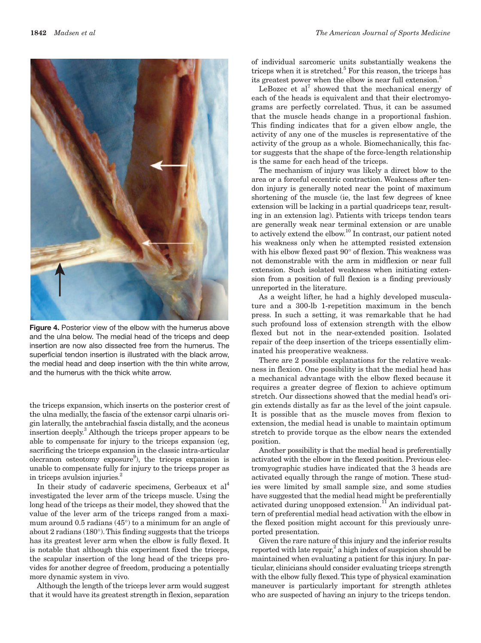

**Figure 4.** Posterior view of the elbow with the humerus above and the ulna below. The medial head of the triceps and deep insertion are now also dissected free from the humerus. The superficial tendon insertion is illustrated with the black arrow, the medial head and deep insertion with the thin white arrow, and the humerus with the thick white arrow.

the triceps expansion, which inserts on the posterior crest of the ulna medially, the fascia of the extensor carpi ulnaris origin laterally, the antebrachial fascia distally, and the aconeus insertion deeply.<sup>3</sup> Although the triceps proper appears to be able to compensate for injury to the triceps expansion (eg, sacrificing the triceps expansion in the classic intra-articular olecranon osteotomy exposure<sup>9</sup>), the triceps expansion is unable to compensate fully for injury to the triceps proper as in triceps avulsion injuries.<sup>2</sup>

In their study of cadaveric specimens, Gerbeaux et  $al<sup>4</sup>$ investigated the lever arm of the triceps muscle. Using the long head of the triceps as their model, they showed that the value of the lever arm of the triceps ranged from a maximum around 0.5 radians (45°) to a minimum for an angle of about 2 radians (180°). This finding suggests that the triceps has its greatest lever arm when the elbow is fully flexed. It is notable that although this experiment fixed the triceps, the scapular insertion of the long head of the triceps provides for another degree of freedom, producing a potentially more dynamic system in vivo.

Although the length of the triceps lever arm would suggest that it would have its greatest strength in flexion, separation

of individual sarcomeric units substantially weakens the triceps when it is stretched.<sup>5</sup> For this reason, the triceps has its greatest power when the elbow is near full extension.<sup>5</sup>

LeBozec et al<sup>7</sup> showed that the mechanical energy of each of the heads is equivalent and that their electromyograms are perfectly correlated. Thus, it can be assumed that the muscle heads change in a proportional fashion. This finding indicates that for a given elbow angle, the activity of any one of the muscles is representative of the activity of the group as a whole. Biomechanically, this factor suggests that the shape of the force-length relationship is the same for each head of the triceps.

The mechanism of injury was likely a direct blow to the area or a forceful eccentric contraction. Weakness after tendon injury is generally noted near the point of maximum shortening of the muscle (ie, the last few degrees of knee extension will be lacking in a partial quadriceps tear, resulting in an extension lag). Patients with triceps tendon tears are generally weak near terminal extension or are unable to actively extend the elbow.<sup>10</sup> In contrast, our patient noted his weakness only when he attempted resisted extension with his elbow flexed past 90° of flexion. This weakness was not demonstrable with the arm in midflexion or near full extension. Such isolated weakness when initiating extension from a position of full flexion is a finding previously unreported in the literature.

As a weight lifter, he had a highly developed musculature and a 300-lb 1-repetition maximum in the bench press. In such a setting, it was remarkable that he had such profound loss of extension strength with the elbow flexed but not in the near-extended position. Isolated repair of the deep insertion of the triceps essentially eliminated his preoperative weakness.

There are 2 possible explanations for the relative weakness in flexion. One possibility is that the medial head has a mechanical advantage with the elbow flexed because it requires a greater degree of flexion to achieve optimum stretch. Our dissections showed that the medial head's origin extends distally as far as the level of the joint capsule. It is possible that as the muscle moves from flexion to extension, the medial head is unable to maintain optimum stretch to provide torque as the elbow nears the extended position.

Another possibility is that the medial head is preferentially activated with the elbow in the flexed position. Previous electromyographic studies have indicated that the 3 heads are activated equally through the range of motion. These studies were limited by small sample size, and some studies have suggested that the medial head might be preferentially activated during unopposed extension. $^{11}$  An individual pattern of preferential medial head activation with the elbow in the flexed position might account for this previously unreported presentation.

Given the rare nature of this injury and the inferior results reported with late repair, $^2$  a high index of suspicion should be maintained when evaluating a patient for this injury. In particular, clinicians should consider evaluating triceps strength with the elbow fully flexed. This type of physical examination maneuver is particularly important for strength athletes who are suspected of having an injury to the triceps tendon.